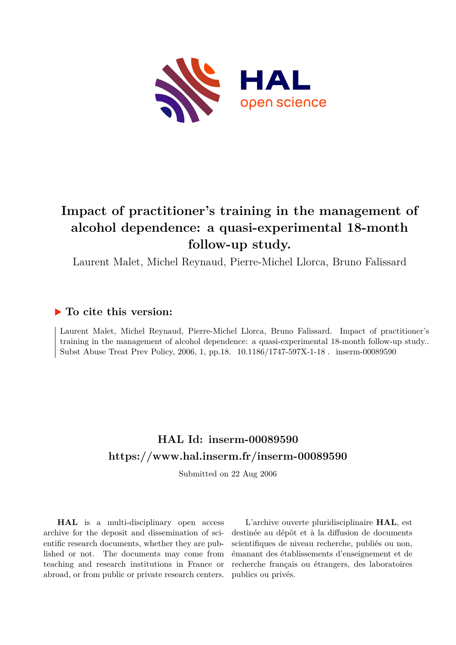

# **Impact of practitioner's training in the management of alcohol dependence: a quasi-experimental 18-month follow-up study.**

Laurent Malet, Michel Reynaud, Pierre-Michel Llorca, Bruno Falissard

### **To cite this version:**

Laurent Malet, Michel Reynaud, Pierre-Michel Llorca, Bruno Falissard. Impact of practitioner's training in the management of alcohol dependence: a quasi-experimental 18-month follow-up study.. Subst Abuse Treat Prev Policy, 2006, 1, pp.18.  $10.1186/1747-597X-1-18$ . inserm-00089590

# **HAL Id: inserm-00089590 <https://www.hal.inserm.fr/inserm-00089590>**

Submitted on 22 Aug 2006

**HAL** is a multi-disciplinary open access archive for the deposit and dissemination of scientific research documents, whether they are published or not. The documents may come from teaching and research institutions in France or abroad, or from public or private research centers.

L'archive ouverte pluridisciplinaire **HAL**, est destinée au dépôt et à la diffusion de documents scientifiques de niveau recherche, publiés ou non, émanant des établissements d'enseignement et de recherche français ou étrangers, des laboratoires publics ou privés.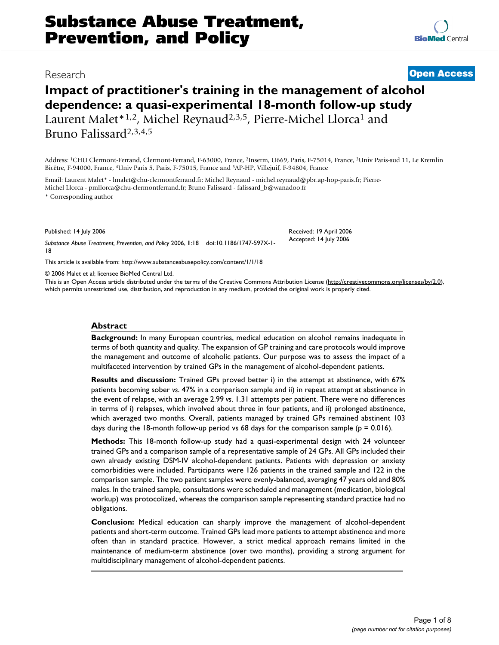## **Impact of practitioner's training in the management of alcohol dependence: a quasi-experimental 18-month follow-up study** Laurent Malet\*<sup>1,2</sup>, Michel Reynaud<sup>2,3,5</sup>, Pierre-Michel Llorca<sup>1</sup> and Bruno Falissard2,3,4,5

Address: <sup>1</sup>CHU Clermont-Ferrand, Clermont-Ferrand, F-63000, France, <sup>2</sup>Inserm, U669, Paris, F-75014, France, <sup>3</sup>Univ Paris-sud 11, Le Kremlin Bicêtre, F-94000, France, <sup>4</sup>Univ Paris 5, Paris, F-75015, France and <sup>5</sup>AP-HP, Villejuif, F-94804, France

Email: Laurent Malet\* - lmalet@chu-clermontferrand.fr; Michel Reynaud - michel.reynaud@pbr.ap-hop-paris.fr; Pierre-Michel Llorca - pmllorca@chu-clermontferrand.fr; Bruno Falissard - falissard\_b@wanadoo.fr

\* Corresponding author

Published: 14 July 2006

*Substance Abuse Treatment, Prevention, and Policy* 2006, **1**:18 doi:10.1186/1747-597X-1- 18

[This article is available from: http://www.substanceabusepolicy.com/content/1/1/18](http://www.substanceabusepolicy.com/content/1/1/18)

© 2006 Malet et al; licensee BioMed Central Ltd.

This is an Open Access article distributed under the terms of the Creative Commons Attribution License [\(http://creativecommons.org/licenses/by/2.0\)](http://creativecommons.org/licenses/by/2.0), which permits unrestricted use, distribution, and reproduction in any medium, provided the original work is properly cited.

#### **Abstract**

**Background:** In many European countries, medical education on alcohol remains inadequate in terms of both quantity and quality. The expansion of GP training and care protocols would improve the management and outcome of alcoholic patients. Our purpose was to assess the impact of a multifaceted intervention by trained GPs in the management of alcohol-dependent patients.

**Results and discussion:** Trained GPs proved better i) in the attempt at abstinence, with 67% patients becoming sober *vs*. 47% in a comparison sample and ii) in repeat attempt at abstinence in the event of relapse, with an average 2.99 *vs*. 1.31 attempts per patient. There were no differences in terms of i) relapses, which involved about three in four patients, and ii) prolonged abstinence, which averaged two months. Overall, patients managed by trained GPs remained abstinent 103 days during the 18-month follow-up period vs 68 days for the comparison sample ( $p = 0.016$ ).

**Methods:** This 18-month follow-up study had a quasi-experimental design with 24 volunteer trained GPs and a comparison sample of a representative sample of 24 GPs. All GPs included their own already existing DSM-IV alcohol-dependent patients. Patients with depression or anxiety comorbidities were included. Participants were 126 patients in the trained sample and 122 in the comparison sample. The two patient samples were evenly-balanced, averaging 47 years old and 80% males. In the trained sample, consultations were scheduled and management (medication, biological workup) was protocolized, whereas the comparison sample representing standard practice had no obligations.

**Conclusion:** Medical education can sharply improve the management of alcohol-dependent patients and short-term outcome. Trained GPs lead more patients to attempt abstinence and more often than in standard practice. However, a strict medical approach remains limited in the maintenance of medium-term abstinence (over two months), providing a strong argument for multidisciplinary management of alcohol-dependent patients.



Received: 19 April 2006 Accepted: 14 July 2006

Research **[Open Access](http://www.biomedcentral.com/info/about/charter/)**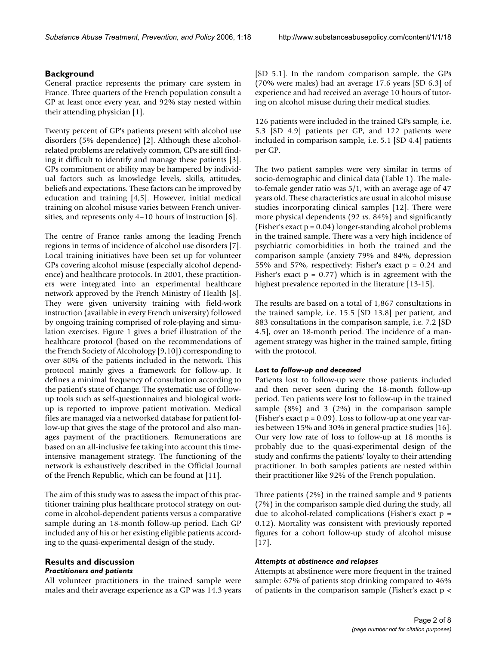#### **Background**

General practice represents the primary care system in France. Three quarters of the French population consult a GP at least once every year, and 92% stay nested within their attending physician [1].

Twenty percent of GP's patients present with alcohol use disorders (5% dependence) [2]. Although these alcoholrelated problems are relatively common, GPs are still finding it difficult to identify and manage these patients [3]. GPs commitment or ability may be hampered by individual factors such as knowledge levels, skills, attitudes, beliefs and expectations. These factors can be improved by education and training [4,5]. However, initial medical training on alcohol misuse varies between French universities, and represents only 4–10 hours of instruction [6].

The centre of France ranks among the leading French regions in terms of incidence of alcohol use disorders [7]. Local training initiatives have been set up for volunteer GPs covering alcohol misuse (especially alcohol dependence) and healthcare protocols. In 2001, these practitioners were integrated into an experimental healthcare network approved by the French Ministry of Health [8]. They were given university training with field-work instruction (available in every French university) followed by ongoing training comprised of role-playing and simulation exercises. Figure 1 gives a brief illustration of the healthcare protocol (based on the recommendations of the French Society of Alcohology [9,10]) corresponding to over 80% of the patients included in the network. This protocol mainly gives a framework for follow-up. It defines a minimal frequency of consultation according to the patient's state of change. The systematic use of followup tools such as self-questionnaires and biological workup is reported to improve patient motivation. Medical files are managed via a networked database for patient follow-up that gives the stage of the protocol and also manages payment of the practitioners. Remunerations are based on an all-inclusive fee taking into account this timeintensive management strategy. The functioning of the network is exhaustively described in the Official Journal of the French Republic, which can be found at [11].

The aim of this study was to assess the impact of this practitioner training plus healthcare protocol strategy on outcome in alcohol-dependent patients versus a comparative sample during an 18-month follow-up period. Each GP included any of his or her existing eligible patients according to the quasi-experimental design of the study.

#### **Results and discussion** *Practitioners and patients*

All volunteer practitioners in the trained sample were males and their average experience as a GP was 14.3 years [SD 5.1]. In the random comparison sample, the GPs (70% were males) had an average 17.6 years [SD 6.3] of experience and had received an average 10 hours of tutoring on alcohol misuse during their medical studies.

126 patients were included in the trained GPs sample, i.e. 5.3 [SD 4.9] patients per GP, and 122 patients were included in comparison sample, i.e. 5.1 [SD 4.4] patients per GP.

The two patient samples were very similar in terms of socio-demographic and clinical data (Table 1). The maleto-female gender ratio was 5/1, with an average age of 47 years old. These characteristics are usual in alcohol misuse studies incorporating clinical samples [12]. There were more physical dependents (92 *vs*. 84%) and significantly (Fisher's exact p = 0.04) longer-standing alcohol problems in the trained sample. There was a very high incidence of psychiatric comorbidities in both the trained and the comparison sample (anxiety 79% and 84%, depression 55% and 57%, respectively: Fisher's exact  $p = 0.24$  and Fisher's exact  $p = 0.77$ ) which is in agreement with the highest prevalence reported in the literature [13-15].

The results are based on a total of 1,867 consultations in the trained sample, i.e. 15.5 [SD 13.8] per patient, and 883 consultations in the comparison sample, i.e. 7.2 [SD 4.5], over an 18-month period. The incidence of a management strategy was higher in the trained sample, fitting with the protocol.

#### *Lost to follow-up and deceased*

Patients lost to follow-up were those patients included and then never seen during the 18-month follow-up period. Ten patients were lost to follow-up in the trained sample (8%) and 3 (2%) in the comparison sample (Fisher's exact  $p = 0.09$ ). Loss to follow-up at one year varies between 15% and 30% in general practice studies [16]. Our very low rate of loss to follow-up at 18 months is probably due to the quasi-experimental design of the study and confirms the patients' loyalty to their attending practitioner. In both samples patients are nested within their practitioner like 92% of the French population.

Three patients (2%) in the trained sample and 9 patients (7%) in the comparison sample died during the study, all due to alcohol-related complications (Fisher's exact  $p =$ 0.12). Mortality was consistent with previously reported figures for a cohort follow-up study of alcohol misuse [17].

#### *Attempts at abstinence and relapses*

Attempts at abstinence were more frequent in the trained sample: 67% of patients stop drinking compared to 46% of patients in the comparison sample (Fisher's exact p <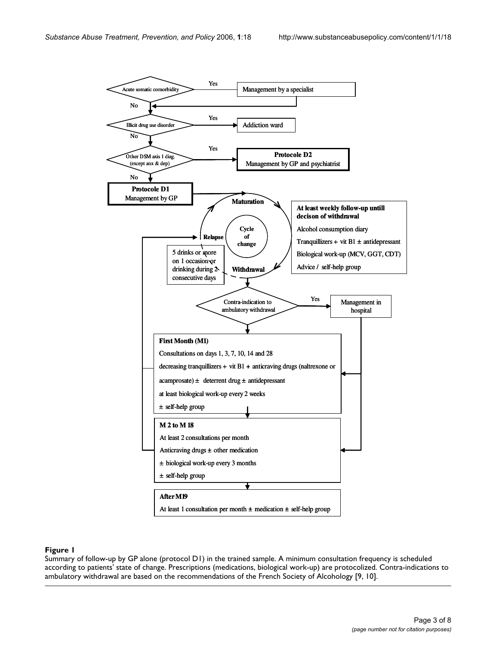

#### **Figure 1**

Summary of follow-up by GP alone (protocol D1) in the trained sample. A minimum consultation frequency is scheduled according to patients' state of change. Prescriptions (medications, biological work-up) are protocolized. Contra-indications to ambulatory withdrawal are based on the recommendations of the French Society of Alcohology [9, 10].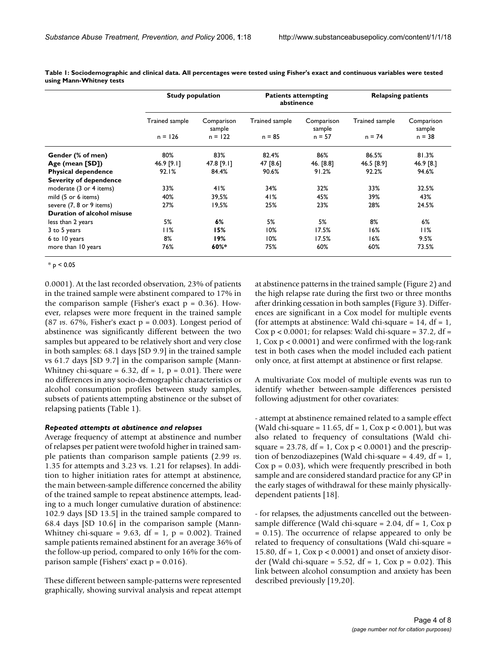|                               | <b>Study population</b> |                      | <b>Patients attempting</b><br>abstinence |                      | <b>Relapsing patients</b> |                      |
|-------------------------------|-------------------------|----------------------|------------------------------------------|----------------------|---------------------------|----------------------|
|                               | Trained sample          | Comparison<br>sample | Trained sample                           | Comparison<br>sample | Trained sample            | Comparison<br>sample |
|                               | $n = 126$               | $n = 122$            | $n = 85$                                 | $n = 57$             | $n = 74$                  | $n = 38$             |
| Gender (% of men)             | 80%                     | 83%                  | 82.4%                                    | 86%                  | 86.5%                     | 81.3%                |
| Age (mean [SD])               | 46.9 [9.1]              | 47.8 [9.1]           | 47 [8.6]                                 | 46. [8.8]            | 46.5 [8.9]                | 46.9 [8.]            |
| <b>Physical dependence</b>    | 92.1%                   | 84.4%                | 90.6%                                    | 91.2%                | 92.2%                     | 94.6%                |
| <b>Severity of dependence</b> |                         |                      |                                          |                      |                           |                      |
| moderate (3 or 4 items)       | 33%                     | 41%                  | 34%                                      | 32%                  | 33%                       | 32.5%                |
| mild (5 or 6 items)           | 40%                     | 39,5%                | 41%                                      | 45%                  | 39%                       | 43%                  |
| severe (7, 8 or 9 items)      | 27%                     | 19,5%                | 25%                                      | 23%                  | 28%                       | 24.5%                |
| Duration of alcohol misuse    |                         |                      |                                          |                      |                           |                      |
| less than 2 years             | 5%                      | 6%                   | 5%                                       | 5%                   | 8%                        | 6%                   |
| 3 to 5 years                  | 11%                     | 15%                  | 10%                                      | 17.5%                | 16%                       | 11%                  |
| 6 to 10 years                 | 8%                      | 19%                  | 10%                                      | 17.5%                | 16%                       | 9.5%                 |
| more than 10 years            | 76%                     | 60%*                 | 75%                                      | 60%                  | 60%                       | 73.5%                |

**Table 1: Sociodemographic and clinical data. All percentages were tested using Fisher's exact and continuous variables were tested using Mann-Whitney tests**

 $*$  p < 0.05

0.0001). At the last recorded observation, 23% of patients in the trained sample were abstinent compared to 17% in the comparison sample (Fisher's exact  $p = 0.36$ ). However, relapses were more frequent in the trained sample (87 *vs*. 67%, Fisher's exact p = 0.003). Longest period of abstinence was significantly different between the two samples but appeared to be relatively short and very close in both samples: 68.1 days [SD 9.9] in the trained sample vs 61.7 days [SD 9.7] in the comparison sample (Mann-Whitney chi-square =  $6.32$ , df = 1, p = 0.01). There were no differences in any socio-demographic characteristics or alcohol consumption profiles between study samples, subsets of patients attempting abstinence or the subset of relapsing patients (Table 1).

#### *Repeated attempts at abstinence and relapses*

Average frequency of attempt at abstinence and number of relapses per patient were twofold higher in trained sample patients than comparison sample patients (2.99 *vs*. 1.35 for attempts and 3.23 vs. 1.21 for relapses). In addition to higher initiation rates for attempt at abstinence, the main between-sample difference concerned the ability of the trained sample to repeat abstinence attempts, leading to a much longer cumulative duration of abstinence: 102.9 days [SD 13.5] in the trained sample compared to 68.4 days [SD 10.6] in the comparison sample (Mann-Whitney chi-square =  $9.63$ , df =  $1$ , p =  $0.002$ ). Trained sample patients remained abstinent for an average 36% of the follow-up period, compared to only 16% for the comparison sample (Fishers' exact  $p = 0.016$ ).

These different between sample-patterns were represented graphically, showing survival analysis and repeat attempt at abstinence patterns in the trained sample (Figure 2) and the high relapse rate during the first two or three months after drinking cessation in both samples (Figure 3). Differences are significant in a Cox model for multiple events (for attempts at abstinence: Wald chi-square =  $14$ , df =  $1$ , Cox  $p < 0.0001$ ; for relapses: Wald chi-square = 37.2, df = 1, Cox p < 0.0001) and were confirmed with the log-rank test in both cases when the model included each patient only once, at first attempt at abstinence or first relapse.

A multivariate Cox model of multiple events was run to identify whether between-sample differences persisted following adjustment for other covariates:

- attempt at abstinence remained related to a sample effect (Wald chi-square = 11.65, df = 1,  $\cos p < 0.001$ ), but was also related to frequency of consultations (Wald chisquare =  $23.78$ , df = 1, Cox p < 0.0001) and the prescription of benzodiazepines (Wald chi-square = 4.49, df = 1,  $Cox p = 0.03$ , which were frequently prescribed in both sample and are considered standard practice for any GP in the early stages of withdrawal for these mainly physicallydependent patients [18].

- for relapses, the adjustments cancelled out the betweensample difference (Wald chi-square =  $2.04$ , df =  $1$ , Cox p = 0.15). The occurrence of relapse appeared to only be related to frequency of consultations (Wald chi-square = 15.80, df = 1, Cox p < 0.0001) and onset of anxiety disorder (Wald chi-square = 5.52, df = 1, Cox  $p = 0.02$ ). This link between alcohol consumption and anxiety has been described previously [19,20].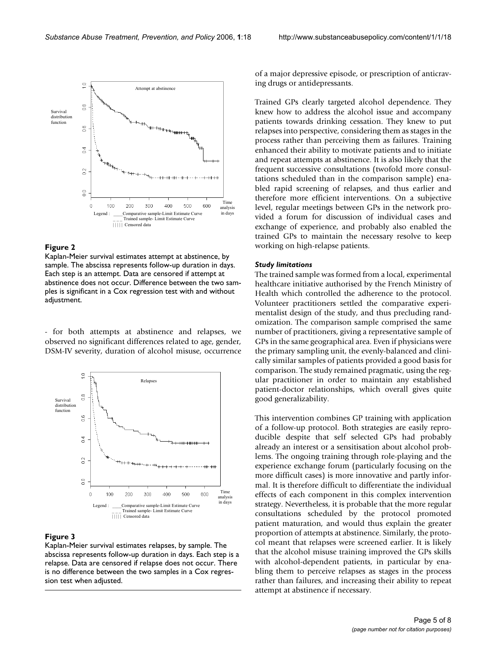

#### **Figure 2**

Kaplan-Meier survival estimates attempt at abstinence, by sample. The abscissa represents follow-up duration in days. Each step is an attempt. Data are censored if attempt at abstinence does not occur. Difference between the two samples is significant in a Cox regression test with and without adjustment.

- for both attempts at abstinence and relapses, we observed no significant differences related to age, gender, DSM-IV severity, duration of alcohol misuse, occurrence



#### **Figure 3**

Kaplan-Meier survival estimates relapses, by sample. The abscissa represents follow-up duration in days. Each step is a relapse. Data are censored if relapse does not occur. There is no difference between the two samples in a Cox regression test when adjusted.

of a major depressive episode, or prescription of anticraving drugs or antidepressants.

Trained GPs clearly targeted alcohol dependence. They knew how to address the alcohol issue and accompany patients towards drinking cessation. They knew to put relapses into perspective, considering them as stages in the process rather than perceiving them as failures. Training enhanced their ability to motivate patients and to initiate and repeat attempts at abstinence. It is also likely that the frequent successive consultations (twofold more consultations scheduled than in the comparison sample) enabled rapid screening of relapses, and thus earlier and therefore more efficient interventions. On a subjective level, regular meetings between GPs in the network provided a forum for discussion of individual cases and exchange of experience, and probably also enabled the trained GPs to maintain the necessary resolve to keep working on high-relapse patients.

#### *Study limitations*

The trained sample was formed from a local, experimental healthcare initiative authorised by the French Ministry of Health which controlled the adherence to the protocol. Volunteer practitioners settled the comparative experimentalist design of the study, and thus precluding randomization. The comparison sample comprised the same number of practitioners, giving a representative sample of GPs in the same geographical area. Even if physicians were the primary sampling unit, the evenly-balanced and clinically similar samples of patients provided a good basis for comparison. The study remained pragmatic, using the regular practitioner in order to maintain any established patient-doctor relationships, which overall gives quite good generalizability.

This intervention combines GP training with application of a follow-up protocol. Both strategies are easily reproducible despite that self selected GPs had probably already an interest or a sensitisation about alcohol problems. The ongoing training through role-playing and the experience exchange forum (particularly focusing on the more difficult cases) is more innovative and partly informal. It is therefore difficult to differentiate the individual effects of each component in this complex intervention strategy. Nevertheless, it is probable that the more regular consultations scheduled by the protocol promoted patient maturation, and would thus explain the greater proportion of attempts at abstinence. Similarly, the protocol meant that relapses were screened earlier. It is likely that the alcohol misuse training improved the GPs skills with alcohol-dependent patients, in particular by enabling them to perceive relapses as stages in the process rather than failures, and increasing their ability to repeat attempt at abstinence if necessary.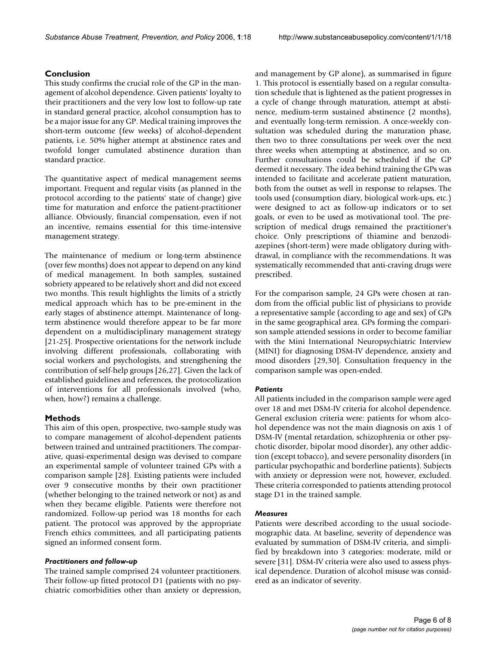### **Conclusion**

This study confirms the crucial role of the GP in the management of alcohol dependence. Given patients' loyalty to their practitioners and the very low lost to follow-up rate in standard general practice, alcohol consumption has to be a major issue for any GP. Medical training improves the short-term outcome (few weeks) of alcohol-dependent patients, i.e. 50% higher attempt at abstinence rates and twofold longer cumulated abstinence duration than standard practice.

The quantitative aspect of medical management seems important. Frequent and regular visits (as planned in the protocol according to the patients' state of change) give time for maturation and enforce the patient-practitioner alliance. Obviously, financial compensation, even if not an incentive, remains essential for this time-intensive management strategy.

The maintenance of medium or long-term abstinence (over few months) does not appear to depend on any kind of medical management. In both samples, sustained sobriety appeared to be relatively short and did not exceed two months. This result highlights the limits of a strictly medical approach which has to be pre-eminent in the early stages of abstinence attempt. Maintenance of longterm abstinence would therefore appear to be far more dependent on a multidisciplinary management strategy [21-25]. Prospective orientations for the network include involving different professionals, collaborating with social workers and psychologists, and strengthening the contribution of self-help groups [26,27]. Given the lack of established guidelines and references, the protocolization of interventions for all professionals involved (who, when, how?) remains a challenge.

### **Methods**

This aim of this open, prospective, two-sample study was to compare management of alcohol-dependent patients between trained and untrained practitioners. The comparative, quasi-experimental design was devised to compare an experimental sample of volunteer trained GPs with a comparison sample [28]. Existing patients were included over 9 consecutive months by their own practitioner (whether belonging to the trained network or not) as and when they became eligible. Patients were therefore not randomized. Follow-up period was 18 months for each patient. The protocol was approved by the appropriate French ethics committees, and all participating patients signed an informed consent form.

#### *Practitioners and follow-up*

The trained sample comprised 24 volunteer practitioners. Their follow-up fitted protocol D1 (patients with no psychiatric comorbidities other than anxiety or depression,

and management by GP alone), as summarised in figure 1. This protocol is essentially based on a regular consultation schedule that is lightened as the patient progresses in a cycle of change through maturation, attempt at abstinence, medium-term sustained abstinence (2 months), and eventually long-term remission. A once-weekly consultation was scheduled during the maturation phase, then two to three consultations per week over the next three weeks when attempting at abstinence, and so on. Further consultations could be scheduled if the GP deemed it necessary. The idea behind training the GPs was intended to facilitate and accelerate patient maturation, both from the outset as well in response to relapses. The tools used (consumption diary, biological work-ups, etc.) were designed to act as follow-up indicators or to set goals, or even to be used as motivational tool. The prescription of medical drugs remained the practitioner's choice. Only prescriptions of thiamine and benzodiazepines (short-term) were made obligatory during withdrawal, in compliance with the recommendations. It was systematically recommended that anti-craving drugs were prescribed.

For the comparison sample, 24 GPs were chosen at random from the official public list of physicians to provide a representative sample (according to age and sex) of GPs in the same geographical area. GPs forming the comparison sample attended sessions in order to become familiar with the Mini International Neuropsychiatric Interview (MINI) for diagnosing DSM-IV dependence, anxiety and mood disorders [29,30]. Consultation frequency in the comparison sample was open-ended.

#### *Patients*

All patients included in the comparison sample were aged over 18 and met DSM-IV criteria for alcohol dependence. General exclusion criteria were: patients for whom alcohol dependence was not the main diagnosis on axis 1 of DSM-IV (mental retardation, schizophrenia or other psychotic disorder, bipolar mood disorder), any other addiction (except tobacco), and severe personality disorders (in particular psychopathic and borderline patients). Subjects with anxiety or depression were not, however, excluded. These criteria corresponded to patients attending protocol stage D1 in the trained sample.

#### *Measures*

Patients were described according to the usual sociodemographic data. At baseline, severity of dependence was evaluated by summation of DSM-IV criteria, and simplified by breakdown into 3 categories: moderate, mild or severe [31]. DSM-IV criteria were also used to assess physical dependence. Duration of alcohol misuse was considered as an indicator of severity.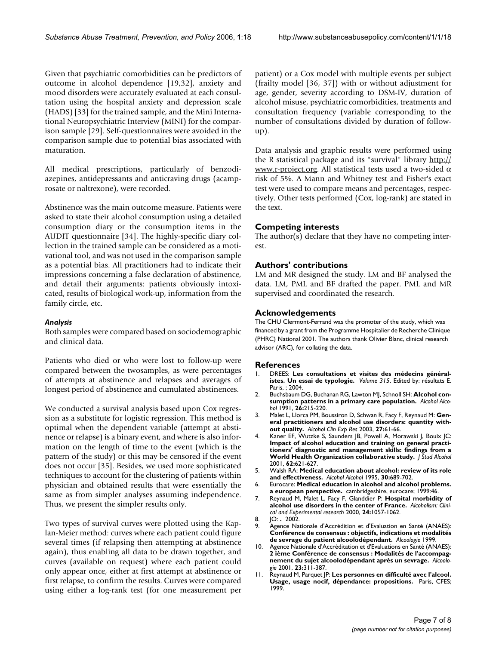Given that psychiatric comorbidities can be predictors of outcome in alcohol dependence [19,32], anxiety and mood disorders were accurately evaluated at each consultation using the hospital anxiety and depression scale (HADS) [33] for the trained sample, and the Mini International Neuropsychiatric Interview (MINI) for the comparison sample [29]. Self-questionnaires were avoided in the comparison sample due to potential bias associated with maturation.

All medical prescriptions, particularly of benzodiazepines, antidepressants and anticraving drugs (acamprosate or naltrexone), were recorded.

Abstinence was the main outcome measure. Patients were asked to state their alcohol consumption using a detailed consumption diary or the consumption items in the AUDIT questionnaire [34]. The highly-specific diary collection in the trained sample can be considered as a motivational tool, and was not used in the comparison sample as a potential bias. All practitioners had to indicate their impressions concerning a false declaration of abstinence, and detail their arguments: patients obviously intoxicated, results of biological work-up, information from the family circle, etc.

#### *Analysis*

Both samples were compared based on sociodemographic and clinical data.

Patients who died or who were lost to follow-up were compared between the twosamples, as were percentages of attempts at abstinence and relapses and averages of longest period of abstinence and cumulated abstinences.

We conducted a survival analysis based upon Cox regression as a substitute for logistic regression. This method is optimal when the dependent variable (attempt at abstinence or relapse) is a binary event, and where is also information on the length of time to the event (which is the pattern of the study) or this may be censored if the event does not occur [35]. Besides, we used more sophisticated techniques to account for the clustering of patients within physician and obtained results that were essentially the same as from simpler analyses assuming independence. Thus, we present the simpler results only.

Two types of survival curves were plotted using the Kaplan-Meier method: curves where each patient could figure several times (if relapsing then attempting at abstinence again), thus enabling all data to be drawn together, and curves (available on request) where each patient could only appear once, either at first attempt at abstinence or first relapse, to confirm the results. Curves were compared using either a log-rank test (for one measurement per patient) or a Cox model with multiple events per subject (frailty model [36, 37]) with or without adjustment for age, gender, severity according to DSM-IV, duration of alcohol misuse, psychiatric comorbidities, treatments and consultation frequency (variable corresponding to the number of consultations divided by duration of followup).

Data analysis and graphic results were performed using the R statistical package and its "survival" library [http://](http://www.r-project.org) [www.r-project.org.](http://www.r-project.org) All statistical tests used a two-sided  $\alpha$ risk of 5%. A Mann and Whitney test and Fisher's exact test were used to compare means and percentages, respectively. Other tests performed (Cox, log-rank) are stated in the text.

#### **Competing interests**

The author(s) declare that they have no competing interest.

#### **Authors' contributions**

LM and MR designed the study. LM and BF analysed the data. LM, PML and BF drafted the paper. PML and MR supervised and coordinated the research.

#### **Acknowledgements**

The CHU Clermont-Ferrand was the promoter of the study, which was financed by a grant from the Programme Hospitalier de Recherche Clinique (PHRC) National 2001. The authors thank Olivier Blanc, clinical research advisor (ARC), for collating the data.

#### **References**

- 1. DREES: **Les consultations et visites des médecins généralistes. Un essai de typologie.** *Volume 315*. Edited by: résultats E. Paris, ; 2004.
- 2. Buchsbaum DG, Buchanan RG, Lawton MJ, Schnoll SH: **[Alcohol con](http://www.ncbi.nlm.nih.gov/entrez/query.fcgi?cmd=Retrieve&db=PubMed&dopt=Abstract&list_uids=1878082)[sumption patterns in a primary care population.](http://www.ncbi.nlm.nih.gov/entrez/query.fcgi?cmd=Retrieve&db=PubMed&dopt=Abstract&list_uids=1878082)** *Alcohol Alcohol* 1991, **26:**215-220.
- 3. Malet L, Llorca PM, Boussiron D, Schwan R, Facy F, Reynaud M: **[Gen](http://www.ncbi.nlm.nih.gov/entrez/query.fcgi?cmd=Retrieve&db=PubMed&dopt=Abstract&list_uids=12544007)[eral practitioners and alcohol use disorders: quantity with](http://www.ncbi.nlm.nih.gov/entrez/query.fcgi?cmd=Retrieve&db=PubMed&dopt=Abstract&list_uids=12544007)[out quality.](http://www.ncbi.nlm.nih.gov/entrez/query.fcgi?cmd=Retrieve&db=PubMed&dopt=Abstract&list_uids=12544007)** *Alcohol Clin Exp Res* 2003, **27:**61-66.
- 4. Kaner EF, Wutzke S, Saunders JB, Powell A, Morawski J, Bouix JC: **Impact of alcohol education and training on general practi[tioners' diagnostic and management skills: findings from a](http://www.ncbi.nlm.nih.gov/entrez/query.fcgi?cmd=Retrieve&db=PubMed&dopt=Abstract&list_uids=11702801) [World Health Organization collaborative study.](http://www.ncbi.nlm.nih.gov/entrez/query.fcgi?cmd=Retrieve&db=PubMed&dopt=Abstract&list_uids=11702801)** *J Stud Alcohol* 2001, **62:**621-627.
- 5. Walsh RA: **[Medical education about alcohol: review of its role](http://www.ncbi.nlm.nih.gov/entrez/query.fcgi?cmd=Retrieve&db=PubMed&dopt=Abstract&list_uids=8679008) [and effectiveness.](http://www.ncbi.nlm.nih.gov/entrez/query.fcgi?cmd=Retrieve&db=PubMed&dopt=Abstract&list_uids=8679008)** *Alcohol Alcohol* 1995, **30:**689-702.
- 6. Eurocare: **Medical education in alcohol and alcohol problems. a european perspective.** cambridgeshire, eurocare; 1999:46.
- 7. Reynaud M, Malet L, Facy F, Glanddier P: **Hospital morbidity of alcohol use disorders in the center of France.** *Alcoholism: Clinical and Experimental research* 2000, **24:**1057-1062.
- 8. JO: **.** 2002.
- Agence Nationale d'Accrédition et d'Evaluation en Santé (ANAES): **Conférence de consensus : objectifs, indications et modalités de sevrage du patient alcoolodépendant.** *Alcoologie* 1999.
- 10. Agence Nationale d'Accréditation et d'Evaluations en Santé (ANAES): **2 ième Conférence de consensus : Modalités de l'accompagnement du sujet alcoolodépendant après un sevrage.** *Alcoologie* 2001, **23:**311-387.
- 11. Reynaud M, Parquet JP: **Les personnes en difficulté avec l'alcool. Usage, usage nocif, dépendance: propositions.** Paris, CFES; 1999.